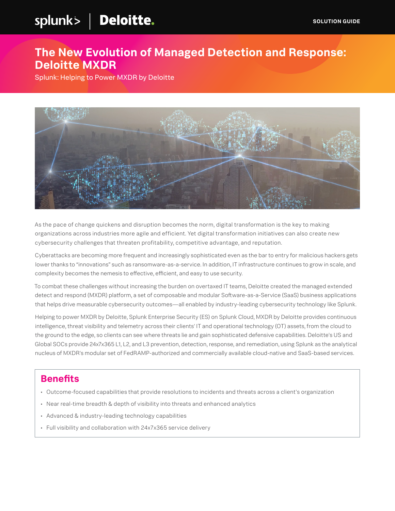# splunk> | Deloitte.

### **The New Evolution of Managed Detection and Response: Deloitte MXDR**

Splunk: Helping to Power MXDR by Deloitte



As the pace of change quickens and disruption becomes the norm, digital transformation is the key to making organizations across industries more agile and efficient. Yet digital transformation initiatives can also create new cybersecurity challenges that threaten profitability, competitive advantage, and reputation.

Cyberattacks are becoming more frequent and increasingly sophisticated even as the bar to entry for malicious hackers gets lower thanks to "innovations" such as ransomware-as-a-service. In addition, IT infrastructure continues to grow in scale, and complexity becomes the nemesis to effective, efficient, and easy to use security.

To combat these challenges without increasing the burden on overtaxed IT teams, Deloitte created the managed extended detect and respond (MXDR) platform, a set of composable and modular Software-as-a-Service (SaaS) business applications that helps drive measurable cybersecurity outcomes—all enabled by industry-leading cybersecurity technology like Splunk.

Helping to power MXDR by Deloitte, Splunk Enterprise Security (ES) on Splunk Cloud, MXDR by Deloitte provides continuous intelligence, threat visibility and telemetry across their clients' IT and operational technology (OT) assets, from the cloud to the ground to the edge, so clients can see where threats lie and gain sophisticated defensive capabilities. Deloitte's US and Global SOCs provide 24x7x365 L1, L2, and L3 prevention, detection, response, and remediation, using Splunk as the analytical nucleus of MXDR's modular set of FedRAMP-authorized and commercially available cloud-native and SaaS-based services.

#### **Benefits**

- Outcome-focused capabilities that provide resolutions to incidents and threats across a client's organization
- Near real-time breadth & depth of visibility into threats and enhanced analytics
- Advanced & industry-leading technology capabilities
- Full visibility and collaboration with 24x7x365 service delivery